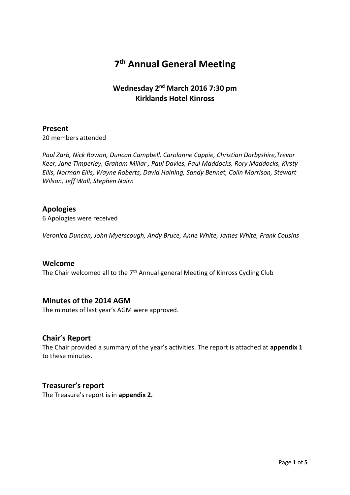# **7 th Annual General Meeting**

## **Wednesday 2nd March 2016 7:30 pm Kirklands Hotel Kinross**

## **Present**

20 members attended

*Paul Zarb, Nick Rowan, Duncan Campbell, Carolanne Cappie, Christian Darbyshire,Trevor Keer, Jane Timperley, Graham Millar , Paul Davies, Paul Maddocks, Rory Maddocks, Kirsty Ellis, Norman Ellis, Wayne Roberts, David Haining, Sandy Bennet, Colin Morrison, Stewart Wilson, Jeff Wall, Stephen Nairn*

### **Apologies**

6 Apologies were received

*Veronica Duncan, John Myerscough, Andy Bruce, Anne White, James White, Frank Cousins*

#### **Welcome**

The Chair welcomed all to the 7<sup>th</sup> Annual general Meeting of Kinross Cycling Club

### **Minutes of the 2014 AGM**

The minutes of last year's AGM were approved.

### **Chair's Report**

The Chair provided a summary of the year's activities. The report is attached at **appendix 1** to these minutes.

### **Treasurer's report**

The Treasure's report is in **appendix 2.**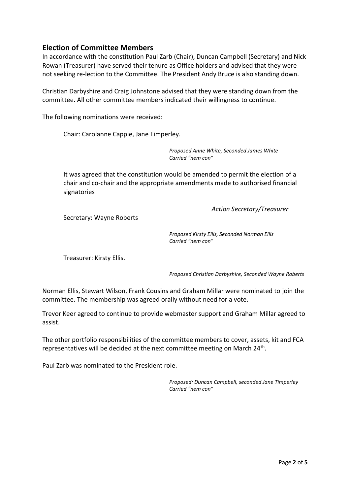## **Election of Committee Members**

In accordance with the constitution Paul Zarb (Chair), Duncan Campbell (Secretary) and Nick Rowan (Treasurer) have served their tenure as Office holders and advised that they were not seeking re-lection to the Committee. The President Andy Bruce is also standing down.

Christian Darbyshire and Craig Johnstone advised that they were standing down from the committee. All other committee members indicated their willingness to continue.

The following nominations were received:

Chair: Carolanne Cappie, Jane Timperley.

*Proposed Anne White, Seconded James White Carried "nem con"*

It was agreed that the constitution would be amended to permit the election of a chair and co-chair and the appropriate amendments made to authorised financial signatories

*Action Secretary/Treasurer*

Secretary: Wayne Roberts

*Proposed Kirsty Ellis, Seconded Norman Ellis Carried "nem con"*

Treasurer: Kirsty Ellis.

*Proposed Christian Darbyshire, Seconded Wayne Roberts*

Norman Ellis, Stewart Wilson, Frank Cousins and Graham Millar were nominated to join the committee. The membership was agreed orally without need for a vote.

Trevor Keer agreed to continue to provide webmaster support and Graham Millar agreed to assist.

The other portfolio responsibilities of the committee members to cover, assets, kit and FCA representatives will be decided at the next committee meeting on March 24<sup>th</sup>.

Paul Zarb was nominated to the President role.

*Proposed: Duncan Campbell, seconded Jane Timperley Carried "nem con"*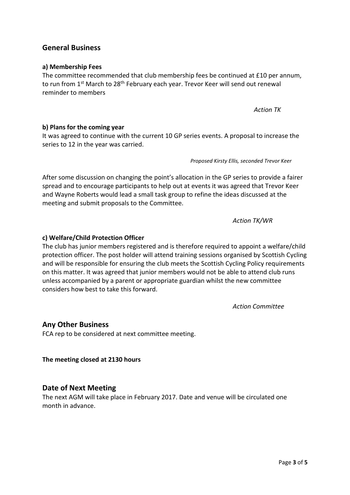### **General Business**

#### **a) Membership Fees**

The committee recommended that club membership fees be continued at £10 per annum, to run from 1<sup>st</sup> March to 28<sup>th</sup> February each year. Trevor Keer will send out renewal reminder to members

*Action TK*

**b) Plans for the coming year**

It was agreed to continue with the current 10 GP series events. A proposal to increase the series to 12 in the year was carried.

*Proposed Kirsty Ellis, seconded Trevor Keer*

After some discussion on changing the point's allocation in the GP series to provide a fairer spread and to encourage participants to help out at events it was agreed that Trevor Keer and Wayne Roberts would lead a small task group to refine the ideas discussed at the meeting and submit proposals to the Committee.

*Action TK/WR*

#### **c) Welfare/Child Protection Officer**

The club has junior members registered and is therefore required to appoint a welfare/child protection officer. The post holder will attend training sessions organised by Scottish Cycling and will be responsible for ensuring the club meets the Scottish Cycling Policy requirements on this matter. It was agreed that junior members would not be able to attend club runs unless accompanied by a parent or appropriate guardian whilst the new committee considers how best to take this forward.

*Action Committee*

### **Any Other Business**

FCA rep to be considered at next committee meeting.

**The meeting closed at 2130 hours**

### **Date of Next Meeting**

The next AGM will take place in February 2017. Date and venue will be circulated one month in advance.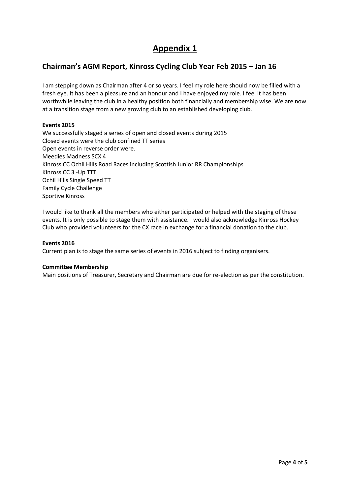## **Appendix 1**

## **Chairman's AGM Report, Kinross Cycling Club Year Feb 2015 – Jan 16**

I am stepping down as Chairman after 4 or so years. I feel my role here should now be filled with a fresh eye. It has been a pleasure and an honour and I have enjoyed my role. I feel it has been worthwhile leaving the club in a healthy position both financially and membership wise. We are now at a transition stage from a new growing club to an established developing club.

#### **Events 2015**

We successfully staged a series of open and closed events during 2015 Closed events were the club confined TT series Open events in reverse order were. Meedies Madness SCX 4 Kinross CC Ochil Hills Road Races including Scottish Junior RR Championships Kinross CC 3 -Up TTT Ochil Hills Single Speed TT Family Cycle Challenge Sportive Kinross

I would like to thank all the members who either participated or helped with the staging of these events. It is only possible to stage them with assistance. I would also acknowledge Kinross Hockey Club who provided volunteers for the CX race in exchange for a financial donation to the club.

#### **Events 2016**

Current plan is to stage the same series of events in 2016 subject to finding organisers.

#### **Committee Membership**

Main positions of Treasurer, Secretary and Chairman are due for re-election as per the constitution.